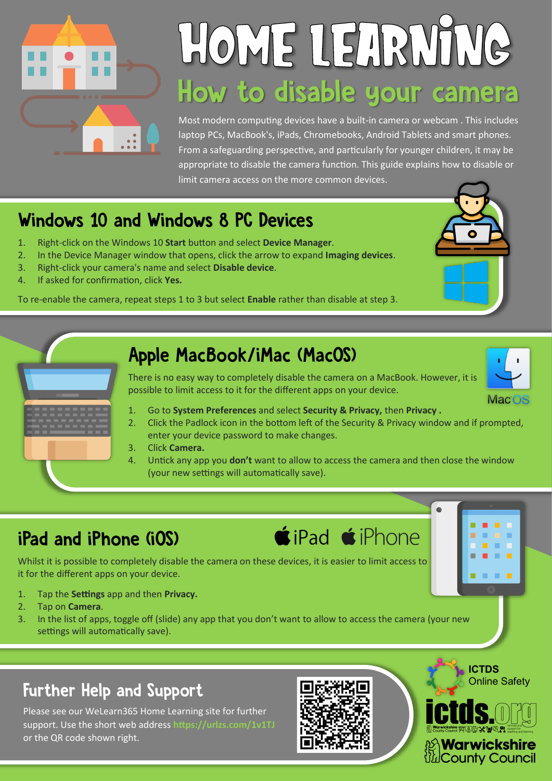

# HOME LEARNING How to disable your camera

Most modern computing devices have a built-in camera or webcam . This includes laptop PCs, MacBook's, iPads, Chromebooks, Android Tablets and smart phones. From a safeguarding perspective, and particularly for younger children, it may be appropriate to disable the camera function. This guide explains how to disable or limit camera access on the more common devices.

### Windows 10 and Windows 8 PC Devices

- 1. Right-click on the Windows 10 **Start** button and select **Device Manager**.
- 2. In the Device Manager window that opens, click the arrow to expand **Imaging devices**.
- 3. Right-click your camera's name and select **Disable device**.
- 4. If asked for confirmation, click **Yes.**

To re-enable the camera, repeat steps 1 to 3 but select **Enable** rather than disable at step 3.



### iPad and iPhone (iOS)

Whilst it is possible to completely disable the camera on these devices, it is easier to limit access to it for the different apps on your device.

- 1. Tap the **Settings** app and then **Privacy.**
- 2. Tap on **Camera**.
- 3. In the list of apps, toggle off (slide) any app that you don't want to allow to access the camera (your new settings will automatically save).

### **Further Help and Support**

Please see our WeLearn365 Home Learning site for further support. Use the short web address **https://urlzs.com/1v1TJ**  or the QR code shown right.



**ICTDS**

**Warwickshire** *l'』County Council* 

Online Safety